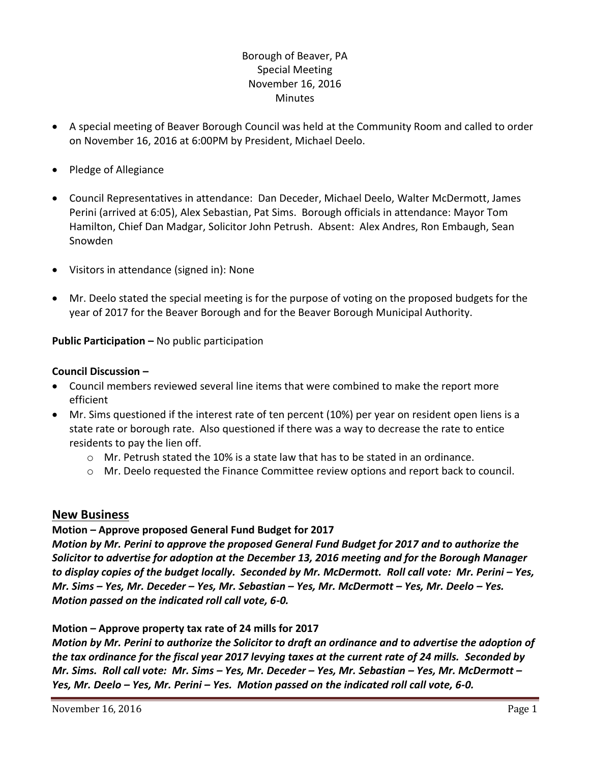## Borough of Beaver, PA Special Meeting November 16, 2016 Minutes

- A special meeting of Beaver Borough Council was held at the Community Room and called to order on November 16, 2016 at 6:00PM by President, Michael Deelo.
- Pledge of Allegiance
- Council Representatives in attendance: Dan Deceder, Michael Deelo, Walter McDermott, James Perini (arrived at 6:05), Alex Sebastian, Pat Sims. Borough officials in attendance: Mayor Tom Hamilton, Chief Dan Madgar, Solicitor John Petrush. Absent: Alex Andres, Ron Embaugh, Sean Snowden
- Visitors in attendance (signed in): None
- Mr. Deelo stated the special meeting is for the purpose of voting on the proposed budgets for the year of 2017 for the Beaver Borough and for the Beaver Borough Municipal Authority.

**Public Participation –** No public participation

## **Council Discussion –**

- Council members reviewed several line items that were combined to make the report more efficient
- Mr. Sims questioned if the interest rate of ten percent (10%) per year on resident open liens is a state rate or borough rate. Also questioned if there was a way to decrease the rate to entice residents to pay the lien off.
	- $\circ$  Mr. Petrush stated the 10% is a state law that has to be stated in an ordinance.
	- o Mr. Deelo requested the Finance Committee review options and report back to council.

## **New Business**

## **Motion – Approve proposed General Fund Budget for 2017**

*Motion by Mr. Perini to approve the proposed General Fund Budget for 2017 and to authorize the Solicitor to advertise for adoption at the December 13, 2016 meeting and for the Borough Manager to display copies of the budget locally. Seconded by Mr. McDermott. Roll call vote: Mr. Perini – Yes, Mr. Sims – Yes, Mr. Deceder – Yes, Mr. Sebastian – Yes, Mr. McDermott – Yes, Mr. Deelo – Yes. Motion passed on the indicated roll call vote, 6-0.*

**Motion – Approve property tax rate of 24 mills for 2017**

*Motion by Mr. Perini to authorize the Solicitor to draft an ordinance and to advertise the adoption of the tax ordinance for the fiscal year 2017 levying taxes at the current rate of 24 mills. Seconded by Mr. Sims. Roll call vote: Mr. Sims – Yes, Mr. Deceder – Yes, Mr. Sebastian – Yes, Mr. McDermott – Yes, Mr. Deelo – Yes, Mr. Perini – Yes. Motion passed on the indicated roll call vote, 6-0.*